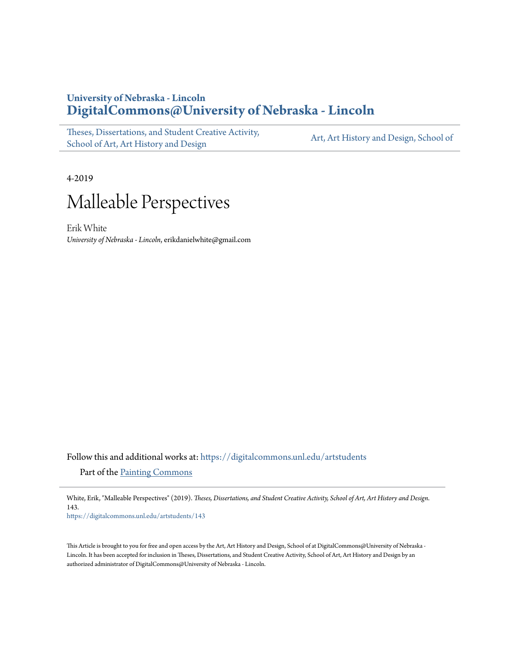# **University of Nebraska - Lincoln [DigitalCommons@University of Nebraska - Lincoln](https://digitalcommons.unl.edu?utm_source=digitalcommons.unl.edu%2Fartstudents%2F143&utm_medium=PDF&utm_campaign=PDFCoverPages)**

[Theses, Dissertations, and Student Creative Activity,](https://digitalcommons.unl.edu/artstudents?utm_source=digitalcommons.unl.edu%2Fartstudents%2F143&utm_medium=PDF&utm_campaign=PDFCoverPages) [School of Art, Art History and Design](https://digitalcommons.unl.edu/artstudents?utm_source=digitalcommons.unl.edu%2Fartstudents%2F143&utm_medium=PDF&utm_campaign=PDFCoverPages)

[Art, Art History and Design, School of](https://digitalcommons.unl.edu/art?utm_source=digitalcommons.unl.edu%2Fartstudents%2F143&utm_medium=PDF&utm_campaign=PDFCoverPages)

4-2019



Erik White *University of Nebraska - Lincoln*, erikdanielwhite@gmail.com

Follow this and additional works at: [https://digitalcommons.unl.edu/artstudents](https://digitalcommons.unl.edu/artstudents?utm_source=digitalcommons.unl.edu%2Fartstudents%2F143&utm_medium=PDF&utm_campaign=PDFCoverPages) Part of the [Painting Commons](http://network.bepress.com/hgg/discipline/1339?utm_source=digitalcommons.unl.edu%2Fartstudents%2F143&utm_medium=PDF&utm_campaign=PDFCoverPages)

White, Erik, "Malleable Perspectives" (2019). *Theses, Dissertations, and Student Creative Activity, School of Art, Art History and Design*. 143.

[https://digitalcommons.unl.edu/artstudents/143](https://digitalcommons.unl.edu/artstudents/143?utm_source=digitalcommons.unl.edu%2Fartstudents%2F143&utm_medium=PDF&utm_campaign=PDFCoverPages)

This Article is brought to you for free and open access by the Art, Art History and Design, School of at DigitalCommons@University of Nebraska - Lincoln. It has been accepted for inclusion in Theses, Dissertations, and Student Creative Activity, School of Art, Art History and Design by an authorized administrator of DigitalCommons@University of Nebraska - Lincoln.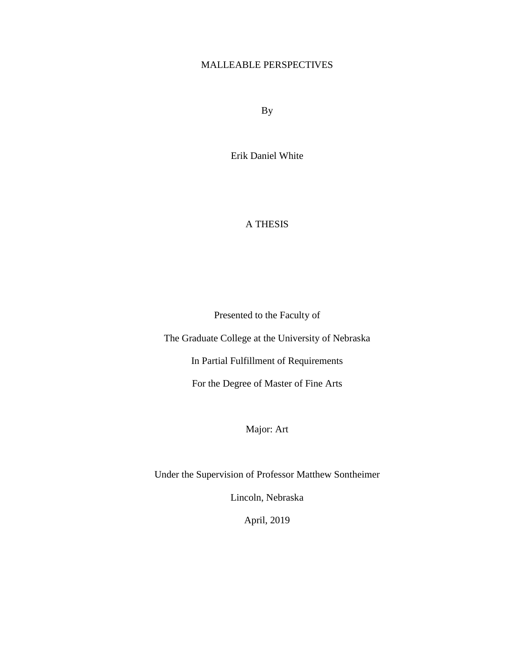### MALLEABLE PERSPECTIVES

By

Erik Daniel White

## A THESIS

Presented to the Faculty of

The Graduate College at the University of Nebraska

In Partial Fulfillment of Requirements

For the Degree of Master of Fine Arts

Major: Art

Under the Supervision of Professor Matthew Sontheimer

Lincoln, Nebraska

April, 2019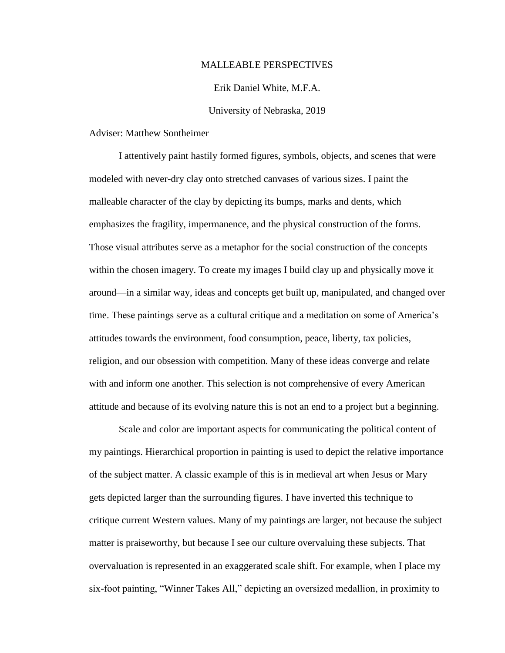### MALLEABLE PERSPECTIVES

Erik Daniel White, M.F.A.

#### University of Nebraska, 2019

Adviser: Matthew Sontheimer

I attentively paint hastily formed figures, symbols, objects, and scenes that were modeled with never-dry clay onto stretched canvases of various sizes. I paint the malleable character of the clay by depicting its bumps, marks and dents, which emphasizes the fragility, impermanence, and the physical construction of the forms. Those visual attributes serve as a metaphor for the social construction of the concepts within the chosen imagery. To create my images I build clay up and physically move it around—in a similar way, ideas and concepts get built up, manipulated, and changed over time. These paintings serve as a cultural critique and a meditation on some of America's attitudes towards the environment, food consumption, peace, liberty, tax policies, religion, and our obsession with competition. Many of these ideas converge and relate with and inform one another. This selection is not comprehensive of every American attitude and because of its evolving nature this is not an end to a project but a beginning.

Scale and color are important aspects for communicating the political content of my paintings. Hierarchical proportion in painting is used to depict the relative importance of the subject matter. A classic example of this is in medieval art when Jesus or Mary gets depicted larger than the surrounding figures. I have inverted this technique to critique current Western values. Many of my paintings are larger, not because the subject matter is praiseworthy, but because I see our culture overvaluing these subjects. That overvaluation is represented in an exaggerated scale shift. For example, when I place my six-foot painting, "Winner Takes All," depicting an oversized medallion, in proximity to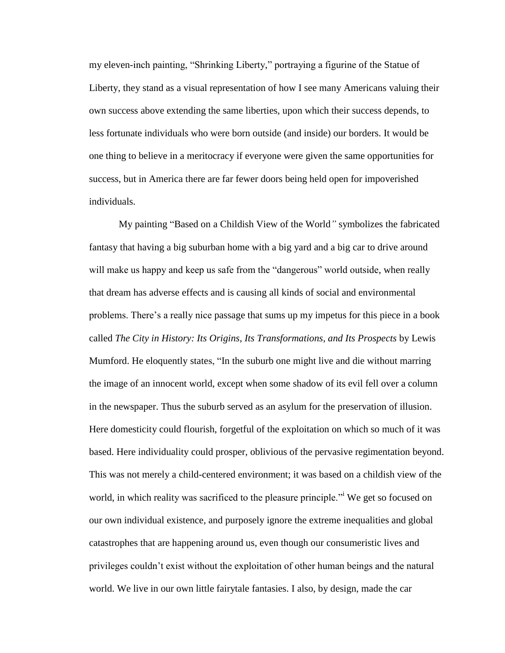my eleven-inch painting, "Shrinking Liberty," portraying a figurine of the Statue of Liberty, they stand as a visual representation of how I see many Americans valuing their own success above extending the same liberties, upon which their success depends, to less fortunate individuals who were born outside (and inside) our borders. It would be one thing to believe in a meritocracy if everyone were given the same opportunities for success, but in America there are far fewer doors being held open for impoverished individuals.

My painting "Based on a Childish View of the World*"* symbolizes the fabricated fantasy that having a big suburban home with a big yard and a big car to drive around will make us happy and keep us safe from the "dangerous" world outside, when really that dream has adverse effects and is causing all kinds of social and environmental problems. There's a really nice passage that sums up my impetus for this piece in a book called *The City in History: Its Origins, Its Transformations, and Its Prospects* by Lewis Mumford. He eloquently states, "In the suburb one might live and die without marring the image of an innocent world, except when some shadow of its evil fell over a column in the newspaper. Thus the suburb served as an asylum for the preservation of illusion. Here domesticity could flourish, forgetful of the exploitation on which so much of it was based. Here individuality could prosper, oblivious of the pervasive regimentation beyond. This was not merely a child-centered environment; it was based on a childish view of the world, in which reality was sacrificed to the pleasure principle.<sup>" We get so focused on</sup> our own individual existence, and purposely ignore the extreme inequalities and global catastrophes that are happening around us, even though our consumeristic lives and privileges couldn't exist without the exploitation of other human beings and the natural world. We live in our own little fairytale fantasies. I also, by design, made the car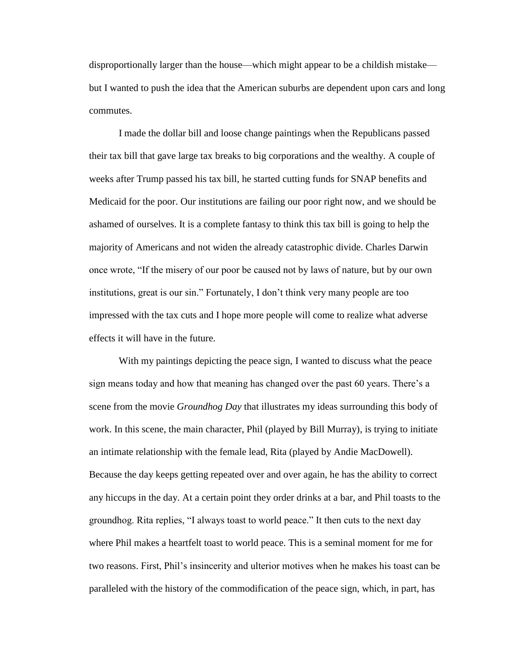disproportionally larger than the house—which might appear to be a childish mistake but I wanted to push the idea that the American suburbs are dependent upon cars and long commutes.

I made the dollar bill and loose change paintings when the Republicans passed their tax bill that gave large tax breaks to big corporations and the wealthy. A couple of weeks after Trump passed his tax bill, he started cutting funds for SNAP benefits and Medicaid for the poor. Our institutions are failing our poor right now, and we should be ashamed of ourselves. It is a complete fantasy to think this tax bill is going to help the majority of Americans and not widen the already catastrophic divide. Charles Darwin once wrote, "If the misery of our poor be caused not by laws of nature, but by our own institutions, great is our sin." Fortunately, I don't think very many people are too impressed with the tax cuts and I hope more people will come to realize what adverse effects it will have in the future.

With my paintings depicting the peace sign, I wanted to discuss what the peace sign means today and how that meaning has changed over the past 60 years. There's a scene from the movie *Groundhog Day* that illustrates my ideas surrounding this body of work. In this scene, the main character, Phil (played by Bill Murray), is trying to initiate an intimate relationship with the female lead, Rita (played by Andie MacDowell). Because the day keeps getting repeated over and over again, he has the ability to correct any hiccups in the day. At a certain point they order drinks at a bar, and Phil toasts to the groundhog. Rita replies, "I always toast to world peace." It then cuts to the next day where Phil makes a heartfelt toast to world peace. This is a seminal moment for me for two reasons. First, Phil's insincerity and ulterior motives when he makes his toast can be paralleled with the history of the commodification of the peace sign, which, in part, has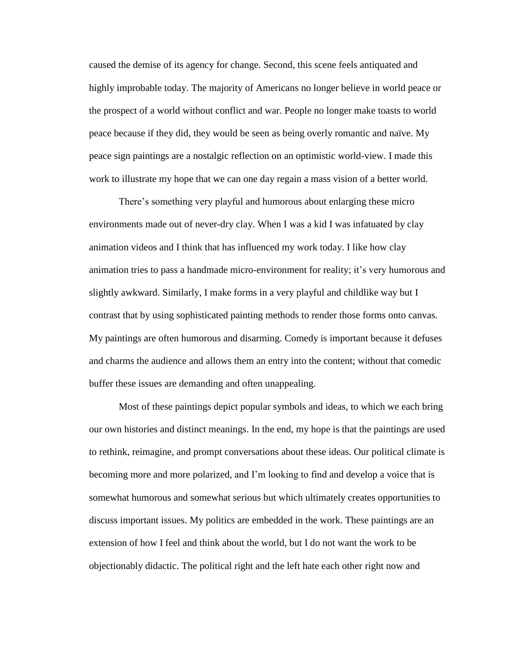caused the demise of its agency for change. Second, this scene feels antiquated and highly improbable today. The majority of Americans no longer believe in world peace or the prospect of a world without conflict and war. People no longer make toasts to world peace because if they did, they would be seen as being overly romantic and naïve. My peace sign paintings are a nostalgic reflection on an optimistic world-view. I made this work to illustrate my hope that we can one day regain a mass vision of a better world.

There's something very playful and humorous about enlarging these micro environments made out of never-dry clay. When I was a kid I was infatuated by clay animation videos and I think that has influenced my work today. I like how clay animation tries to pass a handmade micro-environment for reality; it's very humorous and slightly awkward. Similarly, I make forms in a very playful and childlike way but I contrast that by using sophisticated painting methods to render those forms onto canvas. My paintings are often humorous and disarming. Comedy is important because it defuses and charms the audience and allows them an entry into the content; without that comedic buffer these issues are demanding and often unappealing.

Most of these paintings depict popular symbols and ideas, to which we each bring our own histories and distinct meanings. In the end, my hope is that the paintings are used to rethink, reimagine, and prompt conversations about these ideas. Our political climate is becoming more and more polarized, and I'm looking to find and develop a voice that is somewhat humorous and somewhat serious but which ultimately creates opportunities to discuss important issues. My politics are embedded in the work. These paintings are an extension of how I feel and think about the world, but I do not want the work to be objectionably didactic. The political right and the left hate each other right now and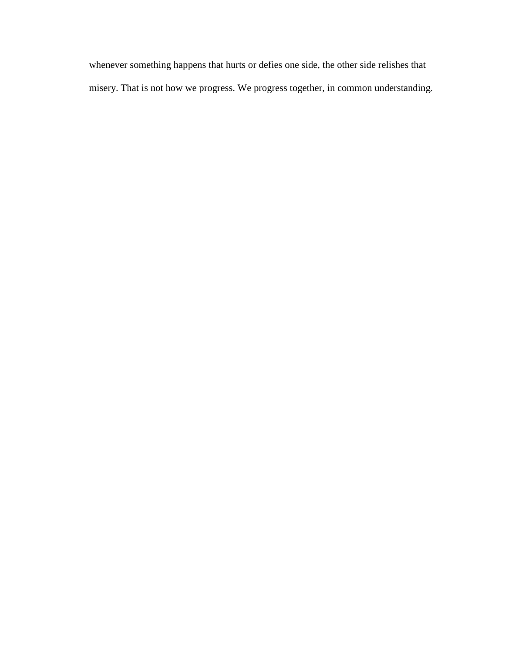whenever something happens that hurts or defies one side, the other side relishes that misery. That is not how we progress. We progress together, in common understanding.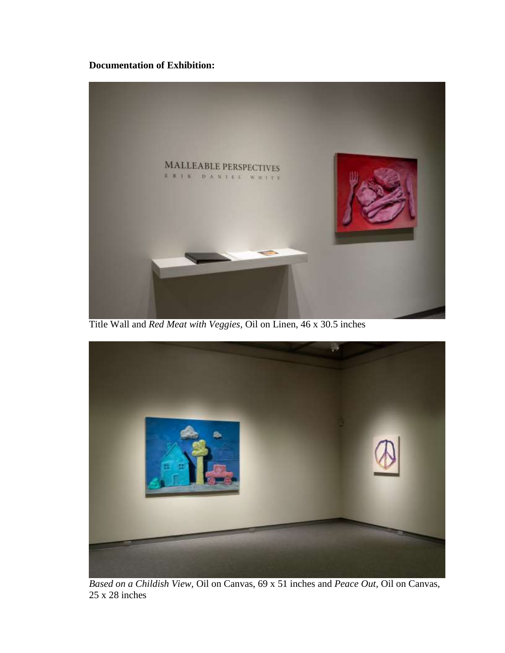## **Documentation of Exhibition:**



Title Wall and *Red Meat with Veggies,* Oil on Linen, 46 x 30.5 inches



*Based on a Childish View,* Oil on Canvas, 69 x 51 inches and *Peace Out,* Oil on Canvas, 25 x 28 inches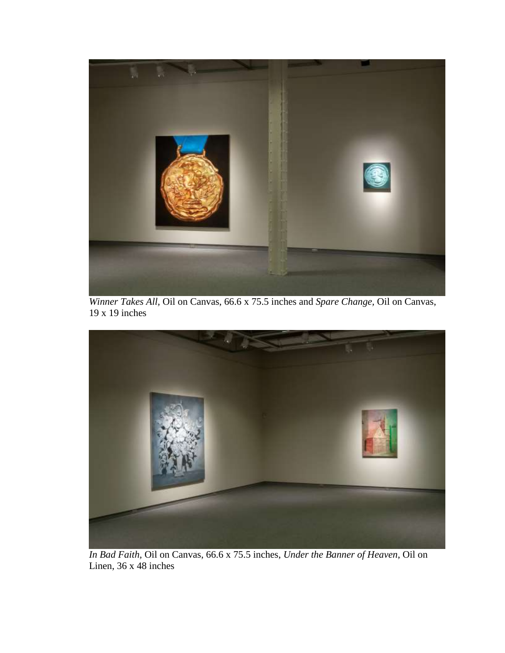

*Winner Takes All,* Oil on Canvas, 66.6 x 75.5 inches and *Spare Change,* Oil on Canvas, 19 x 19 inches



*In Bad Faith,* Oil on Canvas, 66.6 x 75.5 inches, *Under the Banner of Heaven*, Oil on Linen, 36 x 48 inches